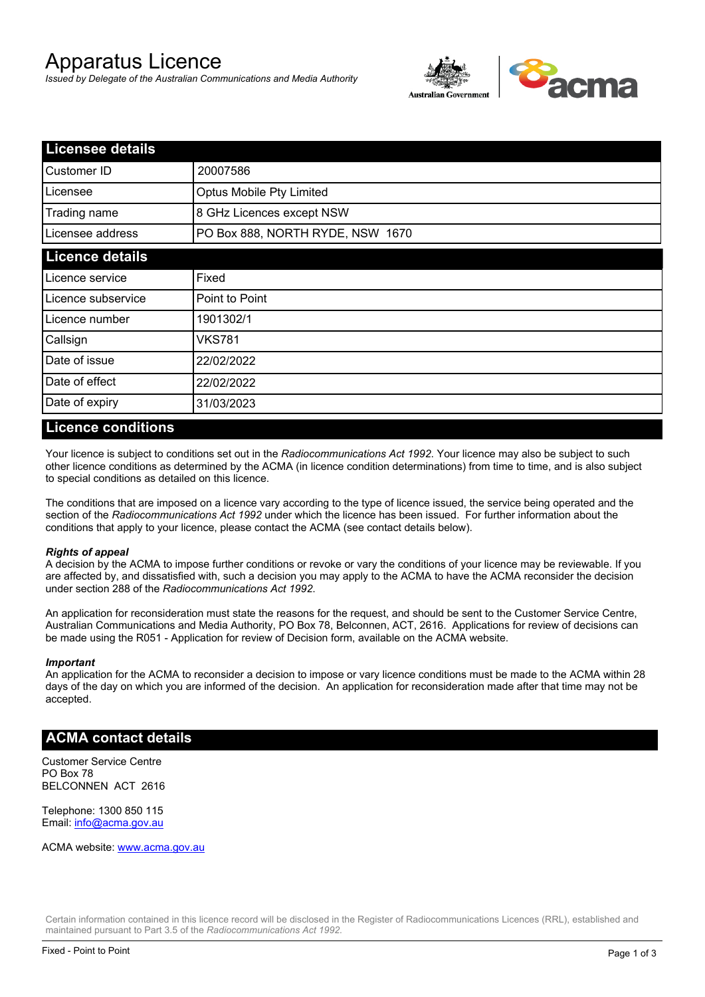# Apparatus Licence

*Issued by Delegate of the Australian Communications and Media Authority*



| <b>Licensee details</b> |                                  |  |
|-------------------------|----------------------------------|--|
| Customer ID             | 20007586                         |  |
| Licensee                | <b>Optus Mobile Pty Limited</b>  |  |
| Trading name            | 8 GHz Licences except NSW        |  |
| Licensee address        | PO Box 888, NORTH RYDE, NSW 1670 |  |
| <b>Licence details</b>  |                                  |  |
| Licence service         | Fixed                            |  |
| Licence subservice      | Point to Point                   |  |
| Licence number          | 1901302/1                        |  |
| Callsign                | <b>VKS781</b>                    |  |
| Date of issue           | 22/02/2022                       |  |
| Date of effect          | 22/02/2022                       |  |
| Date of expiry          | 31/03/2023                       |  |

#### **Licence conditions**

Your licence is subject to conditions set out in the *Radiocommunications Act 1992*. Your licence may also be subject to such other licence conditions as determined by the ACMA (in licence condition determinations) from time to time, and is also subject to special conditions as detailed on this licence.

The conditions that are imposed on a licence vary according to the type of licence issued, the service being operated and the section of the *Radiocommunications Act 1992* under which the licence has been issued. For further information about the conditions that apply to your licence, please contact the ACMA (see contact details below).

#### *Rights of appeal*

A decision by the ACMA to impose further conditions or revoke or vary the conditions of your licence may be reviewable. If you are affected by, and dissatisfied with, such a decision you may apply to the ACMA to have the ACMA reconsider the decision under section 288 of the *Radiocommunications Act 1992*.

An application for reconsideration must state the reasons for the request, and should be sent to the Customer Service Centre, Australian Communications and Media Authority, PO Box 78, Belconnen, ACT, 2616. Applications for review of decisions can be made using the R051 - Application for review of Decision form, available on the ACMA website.

#### *Important*

An application for the ACMA to reconsider a decision to impose or vary licence conditions must be made to the ACMA within 28 days of the day on which you are informed of the decision. An application for reconsideration made after that time may not be accepted.

#### **ACMA contact details**

Customer Service Centre PO Box 78 BELCONNEN ACT 2616

Telephone: 1300 850 115 Email: info@acma.gov.au

ACMA website: www.acma.gov.au

Certain information contained in this licence record will be disclosed in the Register of Radiocommunications Licences (RRL), established and maintained pursuant to Part 3.5 of the *Radiocommunications Act 1992.*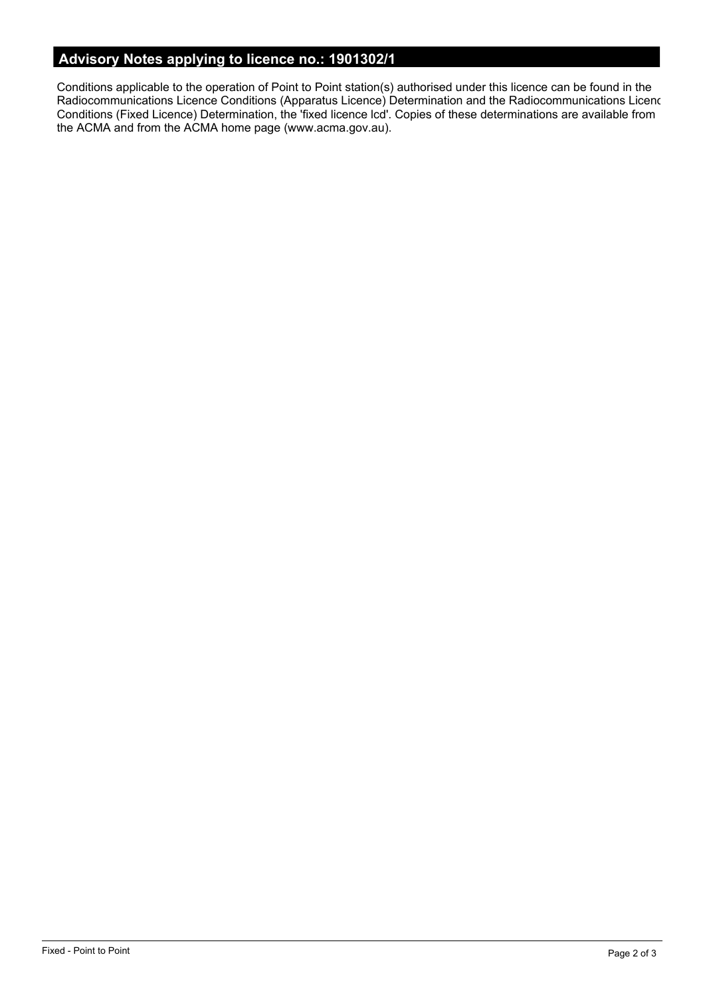# **Advisory Notes applying to licence no.: 1901302/1**

Conditions applicable to the operation of Point to Point station(s) authorised under this licence can be found in the Radiocommunications Licence Conditions (Apparatus Licence) Determination and the Radiocommunications Licence Conditions (Fixed Licence) Determination, the 'fixed licence lcd'. Copies of these determinations are available from the ACMA and from the ACMA home page (www.acma.gov.au).